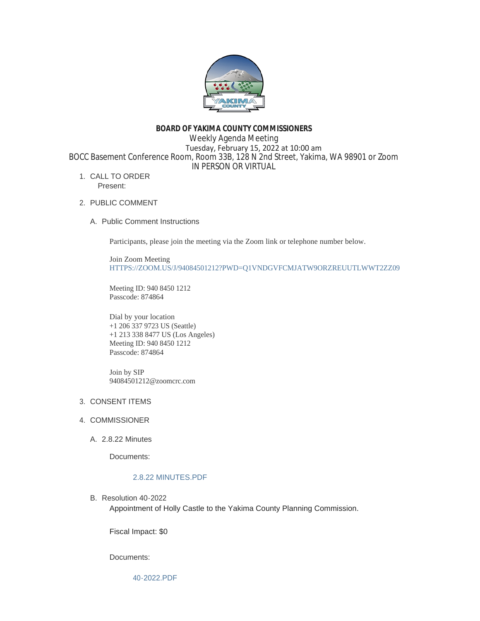

### **BOARD OF YAKIMA COUNTY COMMISSIONERS**

Weekly Agenda Meeting Tuesday, February 15, 2022 at 10:00 am BOCC Basement Conference Room, Room 33B, 128 N 2nd Street, Yakima, WA 98901 or Zoom IN PERSON OR VIRTUAL

- 1. CALL TO ORDER Present:
- 2. PUBLIC COMMENT
	- A. Public Comment Instructions

Participants, please join the meeting via the Zoom link or telephone number below.

Join Zoom Meeting [HTTPS://ZOOM.US/J/94084501212?PWD=Q1VNDGVFCMJATW9ORZREUUTLWWT2ZZ09](https://zoom.us/j/94084501212?pwd=Q1VNdGVFcmJaTW9ORzREUUtlWWt2Zz09)

Meeting ID: 940 8450 1212 Passcode: 874864

Dial by your location +1 206 337 9723 US (Seattle) +1 213 338 8477 US (Los Angeles) Meeting ID: 940 8450 1212 Passcode: 874864

Join by SIP 94084501212@zoomcrc.com

# 3. CONSENT ITEMS

- 4. COMMISSIONER
	- 2.8.22 Minutes A.

Documents:

# [2.8.22 MINUTES.PDF](https://www.yakimacounty.us/AgendaCenter/ViewFile/Item/3824?fileID=15626)

B. Resolution 40-2022

Appointment of Holly Castle to the Yakima County Planning Commission.

Fiscal Impact: \$0

Documents: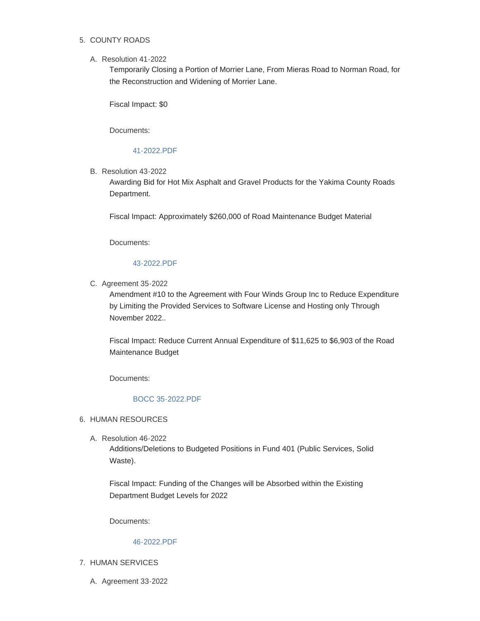# 5. COUNTY ROADS

### Resolution 41-2022 A.

Temporarily Closing a Portion of Morrier Lane, From Mieras Road to Norman Road, for the Reconstruction and Widening of Morrier Lane.

Fiscal Impact: \$0

Documents:

## [41-2022.PDF](https://www.yakimacounty.us/AgendaCenter/ViewFile/Item/3838?fileID=15630)

B. Resolution 43-2022

Awarding Bid for Hot Mix Asphalt and Gravel Products for the Yakima County Roads Department.

Fiscal Impact: Approximately \$260,000 of Road Maintenance Budget Material

Documents:

### [43-2022.PDF](https://www.yakimacounty.us/AgendaCenter/ViewFile/Item/3840?fileID=15632)

C. Agreement 35-2022

Amendment #10 to the Agreement with Four Winds Group Inc to Reduce Expenditure by Limiting the Provided Services to Software License and Hosting only Through November 2022..

Fiscal Impact: Reduce Current Annual Expenditure of \$11,625 to \$6,903 of the Road Maintenance Budget

Documents:

# [BOCC 35-2022.PDF](https://www.yakimacounty.us/AgendaCenter/ViewFile/Item/3841?fileID=15633)

### 6. HUMAN RESOURCES

Resolution 46-2022 A.

Additions/Deletions to Budgeted Positions in Fund 401 (Public Services, Solid Waste).

Fiscal Impact: Funding of the Changes will be Absorbed within the Existing Department Budget Levels for 2022

Documents:

#### [46-2022.PDF](https://www.yakimacounty.us/AgendaCenter/ViewFile/Item/3847?fileID=15636)

- 7. HUMAN SERVICES
	- A. Agreement 33-2022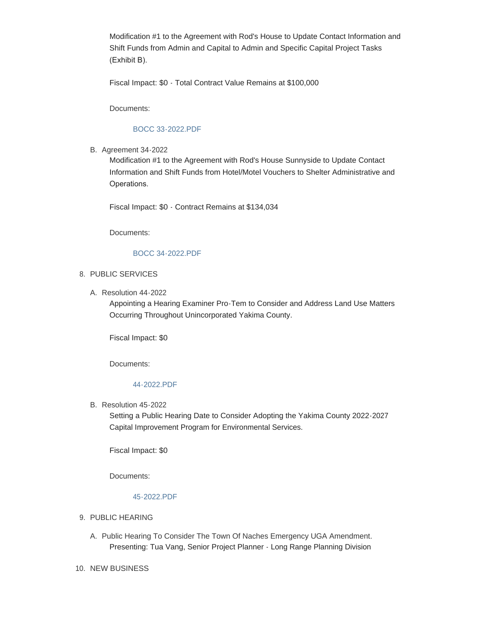Modification #1 to the Agreement with Rod's House to Update Contact Information and Shift Funds from Admin and Capital to Admin and Specific Capital Project Tasks (Exhibit B).

Fiscal Impact: \$0 - Total Contract Value Remains at \$100,000

Documents:

# [BOCC 33-2022.PDF](https://www.yakimacounty.us/AgendaCenter/ViewFile/Item/3827?fileID=15627)

**B.** Agreement 34-2022

Modification #1 to the Agreement with Rod's House Sunnyside to Update Contact Information and Shift Funds from Hotel/Motel Vouchers to Shelter Administrative and Operations.

Fiscal Impact: \$0 - Contract Remains at \$134,034

Documents:

#### [BOCC 34-2022.PDF](https://www.yakimacounty.us/AgendaCenter/ViewFile/Item/3825?fileID=15628)

### 8. PUBLIC SERVICES

Resolution 44-2022 A.

Appointing a Hearing Examiner Pro-Tem to Consider and Address Land Use Matters Occurring Throughout Unincorporated Yakima County.

Fiscal Impact: \$0

Documents:

# [44-2022.PDF](https://www.yakimacounty.us/AgendaCenter/ViewFile/Item/3842?fileID=15634)

B. Resolution 45-2022

Setting a Public Hearing Date to Consider Adopting the Yakima County 2022-2027 Capital Improvement Program for Environmental Services.

Fiscal Impact: \$0

Documents:

### [45-2022.PDF](https://www.yakimacounty.us/AgendaCenter/ViewFile/Item/3843?fileID=15635)

- 9. PUBLIC HEARING
	- A. Public Hearing To Consider The Town Of Naches Emergency UGA Amendment. Presenting: Tua Vang, Senior Project Planner - Long Range Planning Division
- 10. NEW BUSINESS